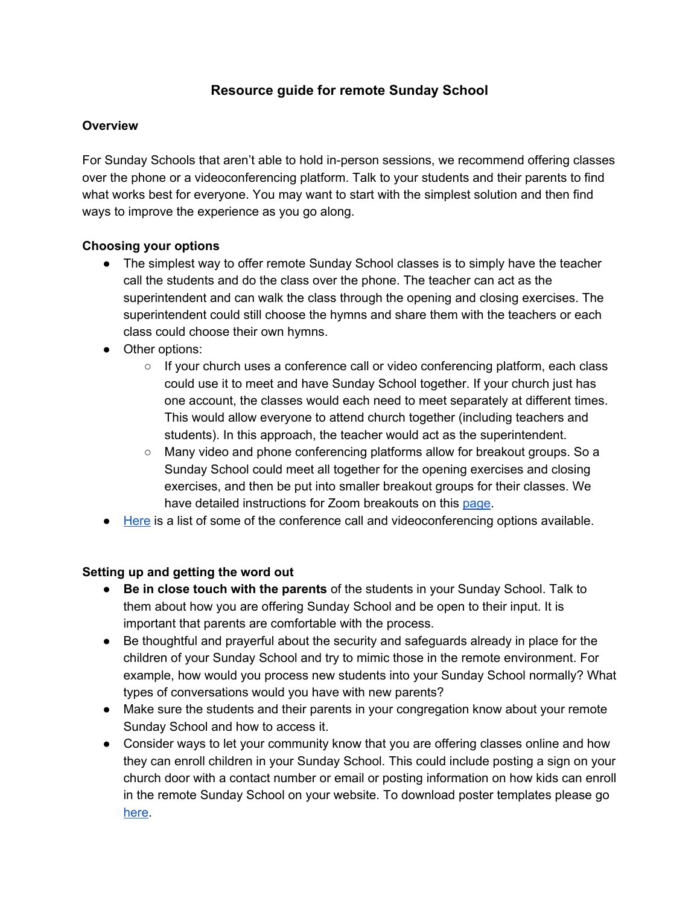# **Resource guide for remote Sunday School**

#### **Overview**

For Sunday Schools that aren't able to hold in-person sessions, we recommend offering classes over the phone or a videoconferencing platform. Talk to your students and their parents to find what works best for everyone. You may want to start with the simplest solution and then find ways to improve the experience as you go along.

#### **Choosing your options**

- The simplest way to offer remote Sunday School classes is to simply have the teacher call the students and do the class over the phone. The teacher can act as the superintendent and can walk the class through the opening and closing exercises. The superintendent could still choose the hymns and share them with the teachers or each class could choose their own hymns.
- Other options:
	- If your church uses a conference call or video conferencing platform, each class could use it to meet and have Sunday School together. If your church just has one account, the classes would each need to meet separately at different times. This would allow everyone to attend church together (including teachers and students). In this approach, the teacher would act as the superintendent.
	- Many video and phone conferencing platforms allow for breakout groups. So a Sunday School could meet all together for the opening exercises and closing exercises, and then be put into smaller breakout groups for their classes. We have detailed instructions for Zoom breakouts on this [page](https://www.christianscience.com/additional-resources/churches-societies-and-groups/branch-resources-during-the-pandemic/sunday-school-support).
- [Here](https://docs.google.com/presentation/d/1Qi_LiIG9oXQJF1Ii-tT8IiL2NuObzxUe7VfgsHkGXBg/edit?usp=sharing) is a list of some of the conference call and videoconferencing options available.

#### **Setting up and getting the word out**

- **● Be in close touch with the parents** of the students in your Sunday School. Talk to them about how you are offering Sunday School and be open to their input. It is important that parents are comfortable with the process.
- **●** Be thoughtful and prayerful about the security and safeguards already in place for the children of your Sunday School and try to mimic those in the remote environment. For example, how would you process new students into your Sunday School normally? What types of conversations would you have with new parents?
- Make sure the students and their parents in your congregation know about your remote Sunday School and how to access it.
- Consider ways to let your community know that you are offering classes online and how they can enroll children in your Sunday School. This could include posting a sign on your church door with a contact number or email or posting information on how kids can enroll in the remote Sunday School on your website. To download poster templates please go [here](https://www.christianscience.com/additional-resources/churches-societies-and-groups/branch-resources-during-the-pandemic).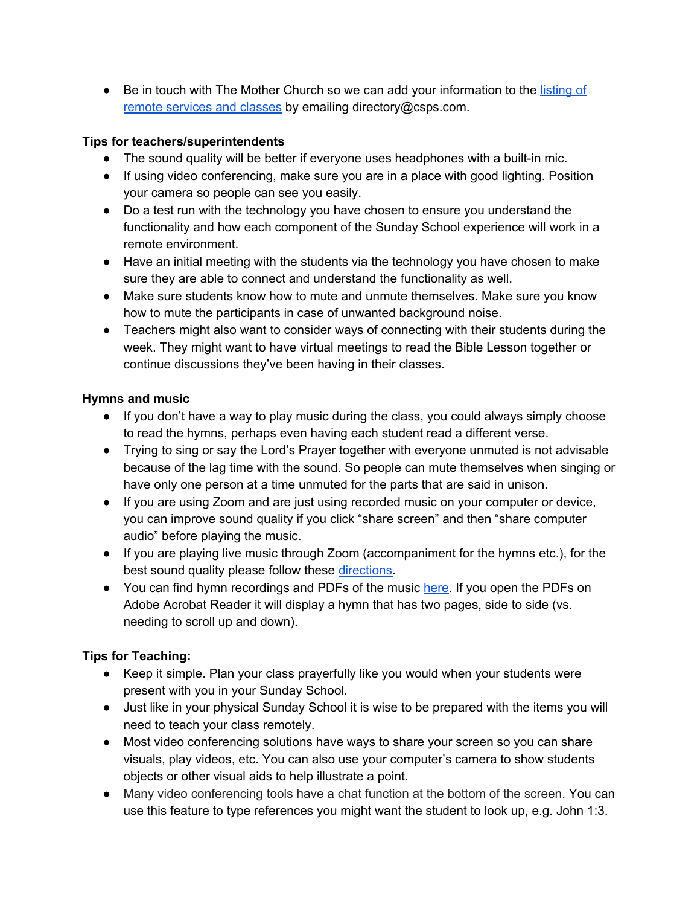● Be in touch with The Mother Church so we can add your information to the [listing](https://docs.google.com/spreadsheets/d/1Z_MTe3HS1VL8tb2uJuDwpkTQkd2F9_RsVdvBLBWEJfQ/edit?usp=sharing) of remote [services](https://docs.google.com/spreadsheets/d/1Z_MTe3HS1VL8tb2uJuDwpkTQkd2F9_RsVdvBLBWEJfQ/edit?usp=sharing) and classes by emailing directory@csps.com.

## **Tips for teachers/superintendents**

- The sound quality will be better if everyone uses headphones with a built-in mic.
- If using video conferencing, make sure you are in a place with good lighting. Position your camera so people can see you easily.
- Do a test run with the technology you have chosen to ensure you understand the functionality and how each component of the Sunday School experience will work in a remote environment.
- Have an initial meeting with the students via the technology you have chosen to make sure they are able to connect and understand the functionality as well.
- Make sure students know how to mute and unmute themselves. Make sure you know how to mute the participants in case of unwanted background noise.
- Teachers might also want to consider ways of connecting with their students during the week. They might want to have virtual meetings to read the Bible Lesson together or continue discussions they've been having in their classes.

## **Hymns and music**

- If you don't have a way to play music during the class, you could always simply choose to read the hymns, perhaps even having each student read a different verse.
- Trying to sing or say the Lord's Prayer together with everyone unmuted is not advisable because of the lag time with the sound. So people can mute themselves when singing or have only one person at a time unmuted for the parts that are said in unison.
- If you are using Zoom and are just using recorded music on your computer or device, you can improve sound quality if you click "share screen" and then "share computer audio" before playing the music.
- If you are playing live music through Zoom (accompaniment for the hymns etc.), for the best sound quality please follow these [directions.](https://docs.google.com/document/d/1HWAK36qskk0rJIt-F45rldaQu2uMPruTzNDG7zlvZME/edit)
- You can find hymn recordings and PDFs of the music [here.](https://www.christianscience.com/additional-resources/churches-societies-and-groups/branch-resources-during-the-pandemic/music-for-branch-church-services) If you open the PDFs on Adobe Acrobat Reader it will display a hymn that has two pages, side to side (vs. needing to scroll up and down).

# **Tips for Teaching:**

- Keep it simple. Plan your class prayerfully like you would when your students were present with you in your Sunday School.
- Just like in your physical Sunday School it is wise to be prepared with the items you will need to teach your class remotely.
- Most video conferencing solutions have ways to share your screen so you can share visuals, play videos, etc. You can also use your computer's camera to show students objects or other visual aids to help illustrate a point.
- Many video conferencing tools have a chat function at the bottom of the screen. You can use this feature to type references you might want the student to look up, e.g. John 1:3.